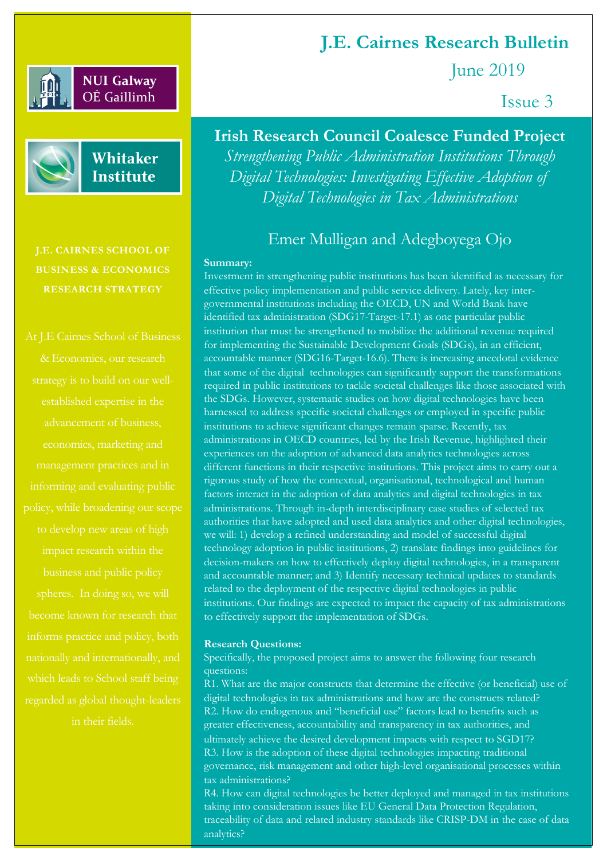### **NUI Galway** OÉ Gaillimh



Whitaker **Institute** 

**J.E. CAIRNES SCHOOL OF BUSINESS & ECONOMICS RESEARCH STRATEGY**

which leads to School staff being in their fields.

**J.E. Cairnes Research Bulletin**

June 2019

Issue 3

# **Irish Research Council Coalesce Funded Project** *Strengthening Public Administration Institutions Through Digital Technologies: Investigating Effective Adoption of Digital Technologies in Tax Administrations*

## Emer Mulligan and Adegboyega Ojo

#### **Summary:**

Investment in strengthening public institutions has been identified as necessary for effective policy implementation and public service delivery. Lately, key intergovernmental institutions including the OECD, UN and World Bank have identified tax administration (SDG17-Target-17.1) as one particular public institution that must be strengthened to mobilize the additional revenue required for implementing the Sustainable Development Goals (SDGs), in an efficient, accountable manner (SDG16-Target-16.6). There is increasing anecdotal evidence that some of the digital technologies can significantly support the transformations required in public institutions to tackle societal challenges like those associated with the SDGs. However, systematic studies on how digital technologies have been harnessed to address specific societal challenges or employed in specific public institutions to achieve significant changes remain sparse. Recently, tax administrations in OECD countries, led by the Irish Revenue, highlighted their experiences on the adoption of advanced data analytics technologies across different functions in their respective institutions. This project aims to carry out a rigorous study of how the contextual, organisational, technological and human factors interact in the adoption of data analytics and digital technologies in tax administrations. Through in-depth interdisciplinary case studies of selected tax authorities that have adopted and used data analytics and other digital technologies, we will: 1) develop a refined understanding and model of successful digital technology adoption in public institutions, 2) translate findings into guidelines for decision-makers on how to effectively deploy digital technologies, in a transparent and accountable manner; and 3) Identify necessary technical updates to standards related to the deployment of the respective digital technologies in public institutions. Our findings are expected to impact the capacity of tax administrations to effectively support the implementation of SDGs.

#### **Research Questions:**

Specifically, the proposed project aims to answer the following four research questions:

R1. What are the major constructs that determine the effective (or beneficial) use of digital technologies in tax administrations and how are the constructs related?  $R2.$  How do endogenous and "beneficial use" factors lead to benefits such as greater effectiveness, accountability and transparency in tax authorities, and ultimately achieve the desired development impacts with respect to SGD17? R3. How is the adoption of these digital technologies impacting traditional governance, risk management and other high-level organisational processes within tax administrations?

R4. How can digital technologies be better deployed and managed in tax institutions taking into consideration issues like EU General Data Protection Regulation, traceability of data and related industry standards like CRISP-DM in the case of data analytics?